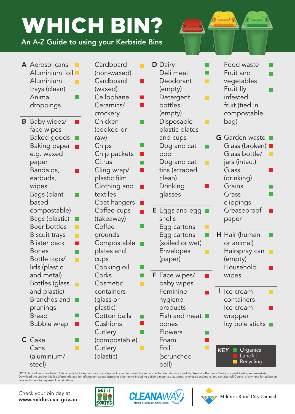## WHICH BIN?

An A-Z Guide to using your Kerbside Bins

|   | A Aerosol cans<br>Aluminium foil<br>Aluminium<br>trays (clean)<br>Animal<br>droppings                                                                                                                                                                                                           | Cardboard<br>(non-waxed)<br>Cardboard<br>(waxed)<br>Cellophane<br>Ceramics/<br>crockery<br>Chicken<br>(cooked or<br>raw)<br>Chips<br>Chip packets<br>Citrus<br>Cling wrap/<br>plastic film<br>Clothing and<br>textiles<br>Coat hangers<br>Coffee cups<br>(takeaway)<br>Coffee<br>grounds<br>Compostable<br>plates and<br>cups<br>Cooking oil<br>Corks<br>Cosmetic<br>containers<br>(glass or<br>plastic)<br>Cotton balls<br>Cushions<br>Cutlery<br>(compostable) | ×.             | D Dairy<br>Deli meat<br>Deodorant<br>$\Box$<br>(empty)<br>Detergent<br>H<br>bottles<br>(empty)<br>Disposable<br>H<br>plastic plates<br>and cups<br>Dog and cat<br>poo<br>Dog and cat<br>П<br>tins (scraped<br>clean)<br>Drinking<br>glasses<br><b>E</b> Eggs and egg<br>shells<br>Egg cartons<br>Egg cartons<br>(soiled or wet)<br>Envelopes<br>l II<br>(paper)<br><b>F</b> Face wipes/<br>baby wipes<br>Feminine<br>hygiene<br>products<br>Fish and meat <b>n</b><br>bones<br>Flowers<br>Foam | Food waste<br>Fruit and<br>vegetables<br>Fruit fly<br>infested<br>fruit (tied in<br>compostable                                                                                                 |
|---|-------------------------------------------------------------------------------------------------------------------------------------------------------------------------------------------------------------------------------------------------------------------------------------------------|------------------------------------------------------------------------------------------------------------------------------------------------------------------------------------------------------------------------------------------------------------------------------------------------------------------------------------------------------------------------------------------------------------------------------------------------------------------|----------------|------------------------------------------------------------------------------------------------------------------------------------------------------------------------------------------------------------------------------------------------------------------------------------------------------------------------------------------------------------------------------------------------------------------------------------------------------------------------------------------------|-------------------------------------------------------------------------------------------------------------------------------------------------------------------------------------------------|
| B | Baby wipes/<br>face wipes<br><b>Baked goods</b><br><b>Baking paper</b><br>e.g. waxed<br>paper<br>Bandaids,<br>earbuds,<br>wipes<br>Bags (plant<br>based<br>compostable)<br>Bags (plastic)<br><b>Beer bottles</b><br><b>The Co</b><br><b>Biscuit trays</b><br>$\Box$<br><b>Blister pack</b><br>П |                                                                                                                                                                                                                                                                                                                                                                                                                                                                  | - 1<br>×.      |                                                                                                                                                                                                                                                                                                                                                                                                                                                                                                | bag)<br><b>G</b> Garden waste<br>Glass (broken)<br>Glass bottle/<br>jars (intact)<br>Glass<br>(drinking)<br>Grains<br>Grass<br>clippings<br>Greaseproof<br>paper<br>H Hair (human<br>or animal) |
|   | <b>Bones</b><br>Bottle tops/<br>П<br>lids (plastic<br>and metal)<br>Bottles (glass<br><b>Talent</b><br>and plastic)                                                                                                                                                                             |                                                                                                                                                                                                                                                                                                                                                                                                                                                                  | a ka<br>$\Box$ |                                                                                                                                                                                                                                                                                                                                                                                                                                                                                                | Hairspray can<br>(empty)<br>Household<br>wipes<br>Ice cream                                                                                                                                     |
|   | Branches and<br>prunings<br><b>Bread</b><br>Bubble wrap<br>C Cake                                                                                                                                                                                                                               |                                                                                                                                                                                                                                                                                                                                                                                                                                                                  |                |                                                                                                                                                                                                                                                                                                                                                                                                                                                                                                | containers<br>Ice cream<br>wrapper<br>lcy pole sticks ■                                                                                                                                         |
|   | Cans<br>(aluminium/<br>steel)                                                                                                                                                                                                                                                                   | Cutlery<br>(plastic)                                                                                                                                                                                                                                                                                                                                                                                                                                             |                | Foil<br>(scrunched<br>ball)                                                                                                                                                                                                                                                                                                                                                                                                                                                                    | Organics<br><b>KEY</b><br>Landfill<br>Recycling                                                                                                                                                 |

NOTE: Not all items are listed. This list only includes items you can dispose in your kerbside bins and not at Transfer Stations, Landfills, Resource Recovery Centres or participating supermarkets.<br>Download the Loddon Mall how and where to dispose of certain items.